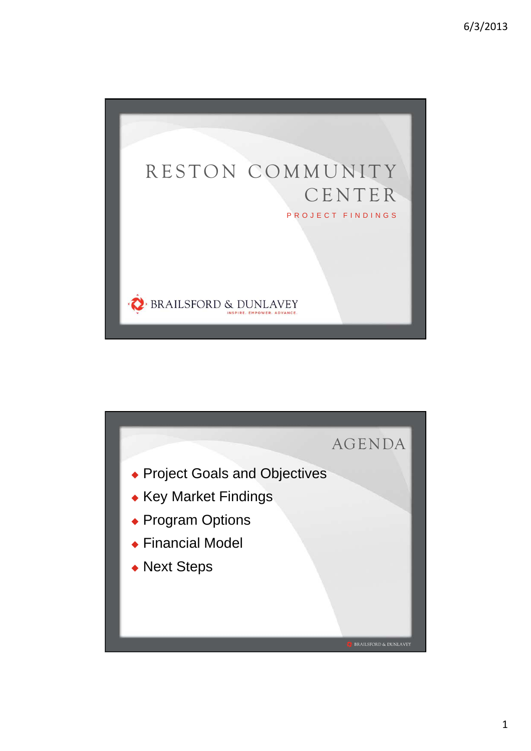

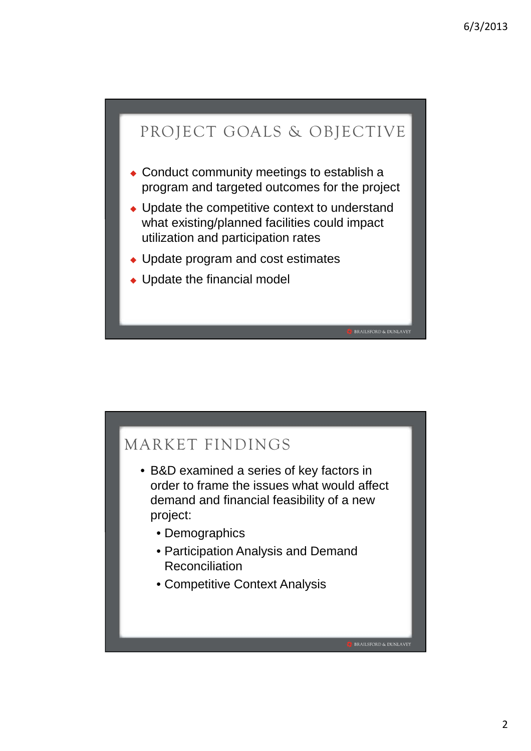# PROJECT GOALS & OBJECTIVE I

- Conduct community meetings to establish a program and targeted outcomes for the project
- Update the competitive context to understand what existing/planned facilities could impact utilization and participation rates

BRAILSFORD & DUNLAVEY

**BRAILSFORD & DUNLAVEY** 

- Update program and cost estimates
- Update the financial model

# MARKET FINDINGS

- B&D examined a series of key factors in order to frame the issues what would affect demand and financial feasibility of a new project:
	- Demographics
	- Participation Analysis and Demand **Reconciliation**
	- Competitive Context Analysis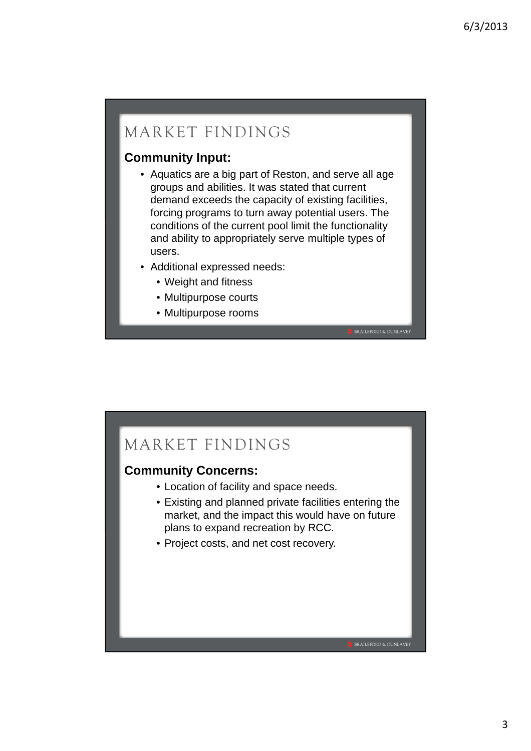### MARKET FINDINGS

#### **Community Input:**

- Aquatics are a big part of Reston, and serve all age groups and abilities. It was stated that current demand exceeds the capacity of existing facilities, forcing programs to turn away potential users. The conditions of the current pool limit the functionality and ability to appropriately serve multiple types of users.
- Additional expressed needs:
	- Weight and fitness
	- Multipurpose courts
	- Multipurpose rooms



#### **Community Concerns:**

- Location of facility and space needs.
- Existing and planned private facilities entering the market, and the impact this would have on future plans to expand recreation by RCC.

**BRAILSFORD & DUNLAVEY** 

• Project costs, and net cost recovery.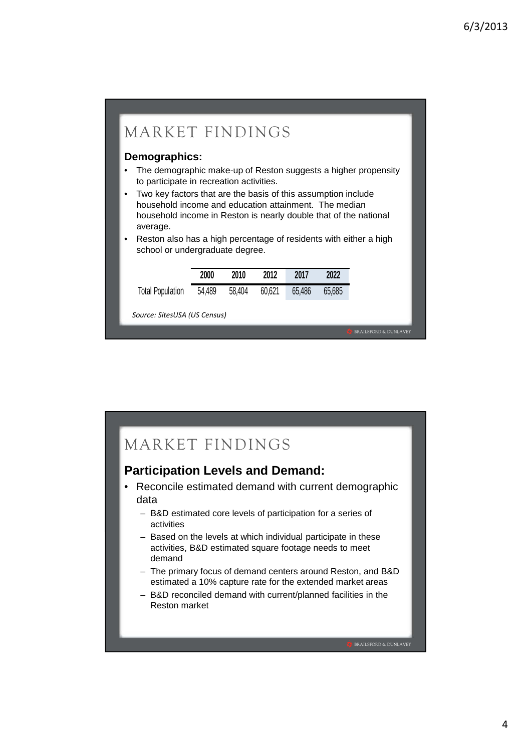

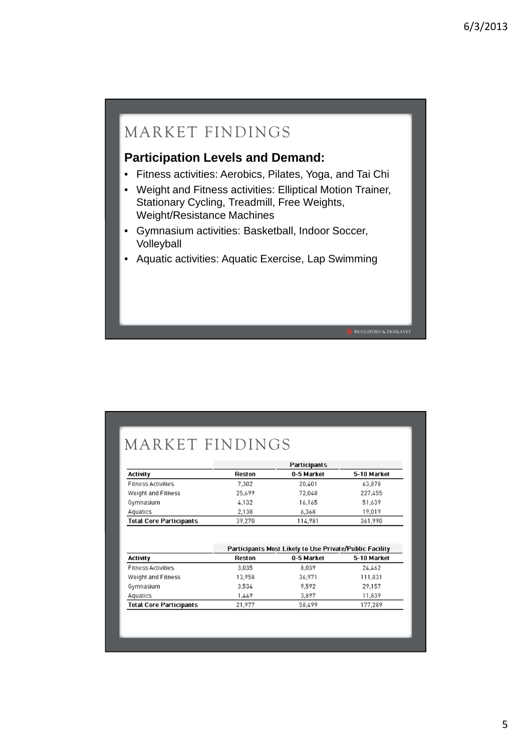### MARKET FINDINGS

#### **Participation Levels and Demand:**

- Fitness activities: Aerobics, Pilates, Yoga, and Tai Chi
- Weight and Fitness activities: Elliptical Motion Trainer, Stationary Cycling, Treadmill, Free Weights, Weight/Resistance Machines
- Gymnasium activities: Basketball, Indoor Soccer, Volleyball
- Aquatic activities: Aquatic Exercise, Lap Swimming

## MARKET FINDINGS

|                                | Participants |            |             |  |
|--------------------------------|--------------|------------|-------------|--|
| Activity                       | Reston       | 0-5 Market | 5-10 Market |  |
| <b>Fitness Activities</b>      | 7.302        | 20.401     | 63,878      |  |
| Weight and Fitness             | 25,699       | 72,048     | 227,455     |  |
| Gymnasium                      | 4,132        | 16,165     | 51,639      |  |
| Aquatics                       | 2.138        | 6.368      | 19.019      |  |
| <b>Total Core Participants</b> | 39,270       | 114,981    | 361,990     |  |

|                                | Participants Most Likely to Use Private/Public Facility |            |             |  |  |
|--------------------------------|---------------------------------------------------------|------------|-------------|--|--|
| <b>Activity</b>                | Reston                                                  | 0-5 Market | 5-10 Market |  |  |
| <b>Fitness Activities</b>      | 3.035                                                   | 8.039      | 24,462      |  |  |
| Weight and Fitness             | 13,958                                                  | 36,971     | 111,831     |  |  |
| Gymnasium                      | 3,534                                                   | 9.592      | 29,157      |  |  |
| Aquatics                       | 1.449                                                   | 3.897      | 11,839      |  |  |
| <b>Total Core Participants</b> | 21,977                                                  | 58,499     | 177.289     |  |  |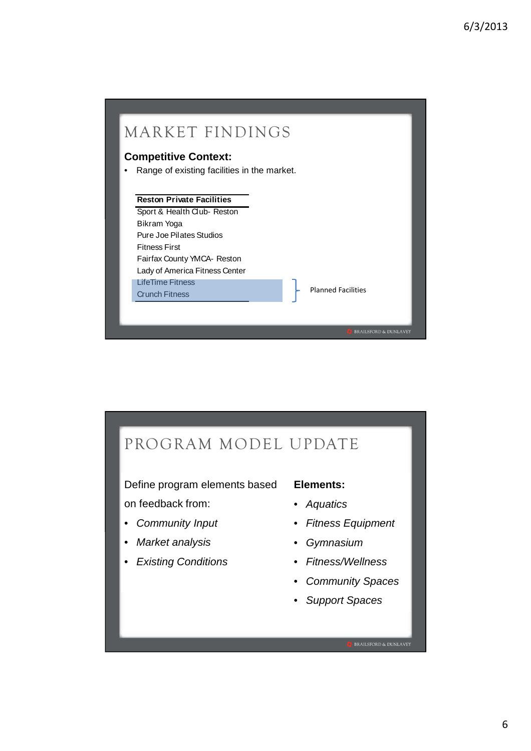

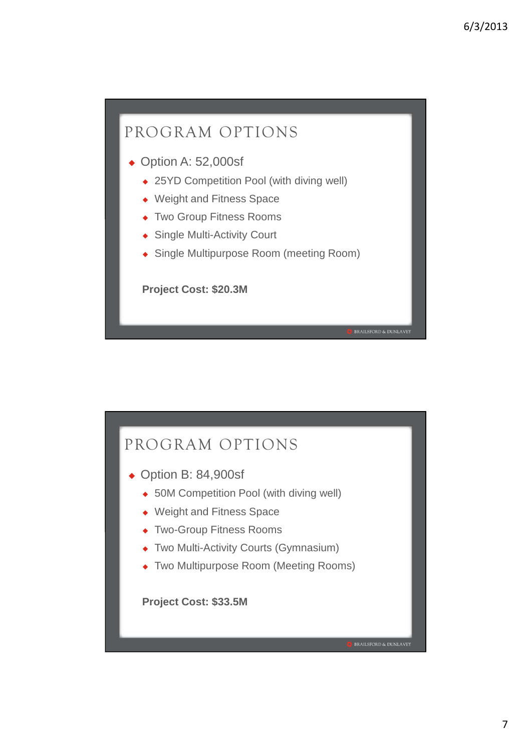

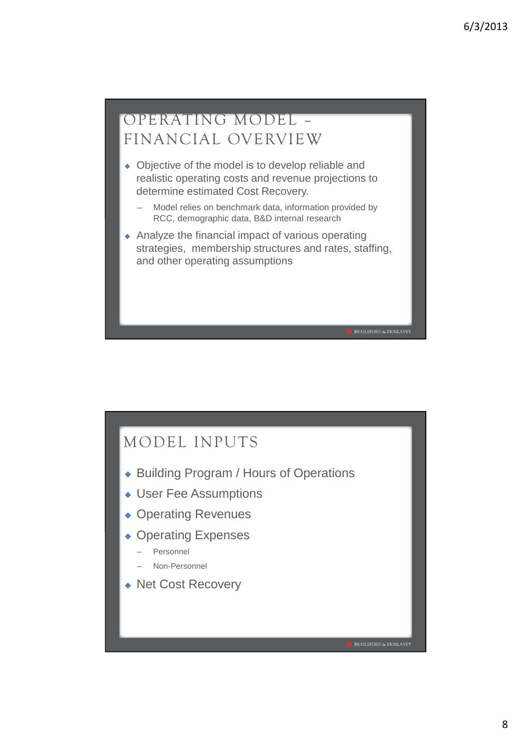#### OPERATING MODEL – Ï FINANCIAL OVERVIEW

- Objective of the model is to develop reliable and realistic operating costs and revenue projections to determine estimated Cost Recovery.
	- – Model relies on benchmark data, information provided by RCC, demographic data, B&D internal research
- Analyze the financial impact of various operating strategies, membership structures and rates, staffing, and other operating assumptions

### MODEL INPUTS

- ◆ Building Program / Hours of Operations
- User Fee Assumptions
- ◆ Operating Revenues
- Operating Expenses
	- Personnel
	- Non-Personnel
- ◆ Net Cost Recovery

· BRAILSFORD & DUNLAVEY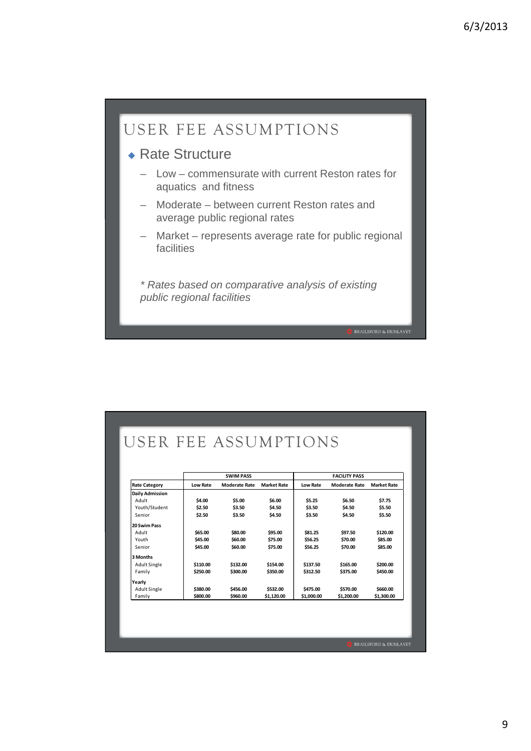

## USER FEE ASSUMPTIONS

|                        |                 | <b>SWIM PASS</b>     |                    |            | <b>FACILITY PASS</b> |                    |
|------------------------|-----------------|----------------------|--------------------|------------|----------------------|--------------------|
| <b>Rate Category</b>   | <b>Low Rate</b> | <b>Moderate Rate</b> | <b>Market Rate</b> | Low Rate   | <b>Moderate Rate</b> | <b>Market Rate</b> |
| <b>Daily Admission</b> |                 |                      |                    |            |                      |                    |
| Adult                  | \$4.00          | \$5.00               | \$6.00             | \$5.25     | \$6.50               | \$7.75             |
| Youth/Student          | \$2.50          | \$3.50               | \$4.50             | \$3.50     | \$4.50               | \$5.50             |
| Senior                 | \$2.50          | \$3.50               | \$4.50             | \$3.50     | \$4.50               | \$5.50             |
| 20 Swim Pass           |                 |                      |                    |            |                      |                    |
| Adult                  | \$65.00         | \$80.00              | \$95.00            | \$81.25    | \$97.50              | \$120.00           |
| Youth                  | \$45.00         | \$60.00              | \$75.00            | \$56.25    | \$70.00              | \$85.00            |
| Senior                 | \$45.00         | \$60.00              | \$75.00            | \$56.25    | \$70.00              | \$85.00            |
| 3 Months               |                 |                      |                    |            |                      |                    |
| <b>Adult Single</b>    | \$110.00        | \$132.00             | \$154.00           | \$137.50   | \$165.00             | \$200.00           |
| Family                 | \$250.00        | \$300.00             | \$350.00           | \$312.50   | \$375.00             | \$450.00           |
| Yearly                 |                 |                      |                    |            |                      |                    |
| Adult Single           | \$380.00        | \$456.00             | \$532.00           | \$475.00   | \$570.00             | \$660.00           |
| Family                 | \$800.00        | \$960.00             | \$1,120.00         | \$1,000.00 | \$1,200.00           | \$1,300.00         |

9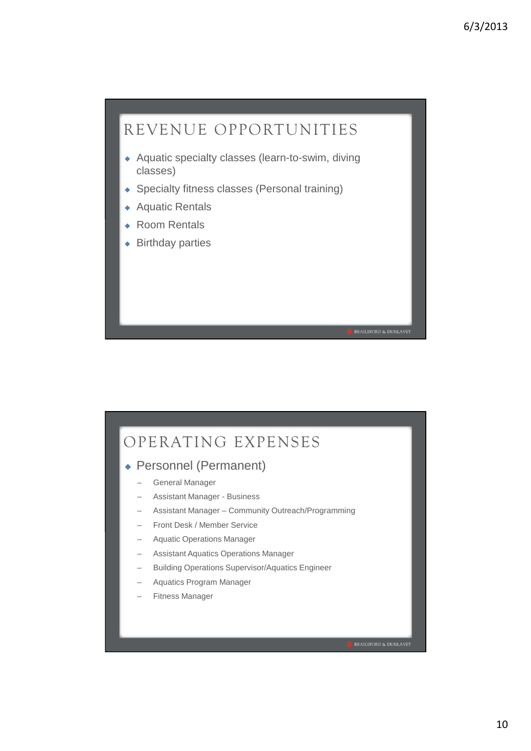

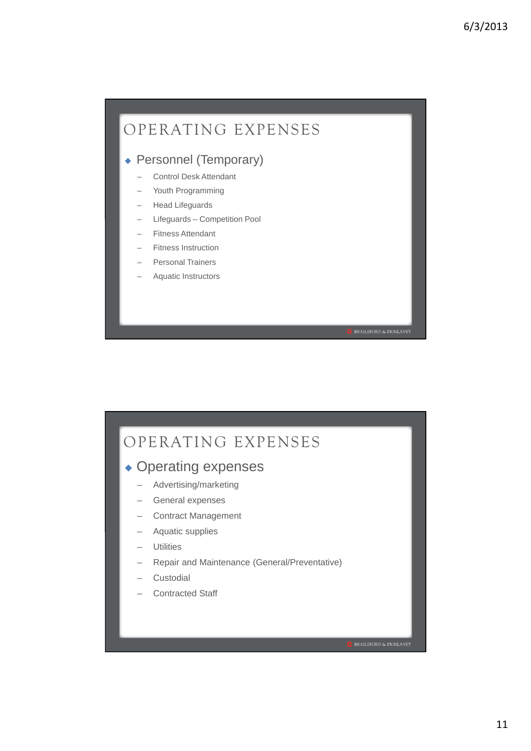

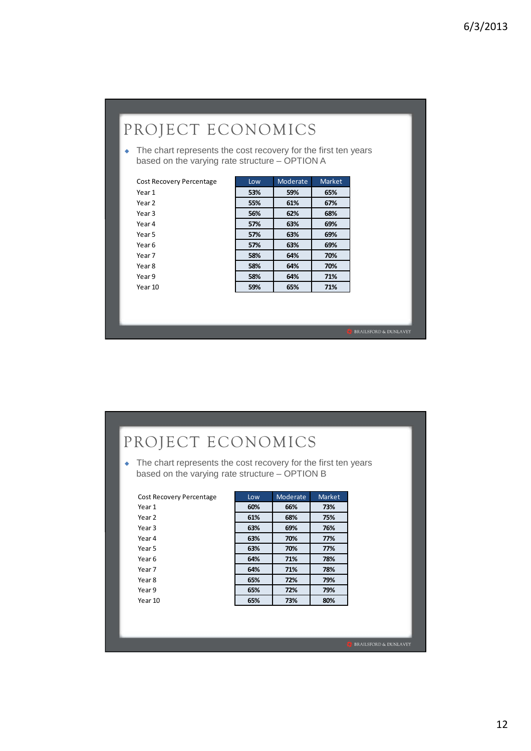## PROJECT ECONOMICS

 $\bullet$  The chart represents the cost recovery for the first ten years based on the varying rate structure – OPTION A

|                   | Low | Moderate | Market |
|-------------------|-----|----------|--------|
| Year 1            | 53% | 59%      | 65%    |
| Year <sub>2</sub> | 55% | 61%      | 67%    |
| Year <sub>3</sub> | 56% | 62%      | 68%    |
| Year 4            | 57% | 63%      | 69%    |
| Year 5            | 57% | 63%      | 69%    |
| Year 6            | 57% | 63%      | 69%    |
| Year 7            | 58% | 64%      | 70%    |
| Year 8            | 58% | 64%      | 70%    |
| Year 9            | 58% | 64%      | 71%    |
| Year 10           | 59% | 65%      | 71%    |

**BRAILSFORD & DUNLAVEY** 

## PROJECT ECONOMICS

 $\bullet$  The chart represents the cost recovery for the first ten years based on the varying rate structure – OPTION B

| Year 1<br>Year 2 | 60% | 66% |     |
|------------------|-----|-----|-----|
|                  |     |     | 73% |
|                  | 61% | 68% | 75% |
| Year 3           | 63% | 69% | 76% |
| Year 4           | 63% | 70% | 77% |
| Year 5           | 63% | 70% | 77% |
| Year 6           | 64% | 71% | 78% |
| Year 7           | 64% | 71% | 78% |
| Year 8           | 65% | 72% | 79% |
| Year 9           | 65% | 72% | 79% |
| Year 10          | 65% | 73% | 80% |